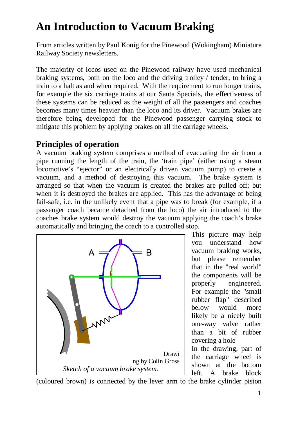# **An Introduction to Vacuum Braking**

From articles written by Paul Konig for the Pinewood (Wokingham) Miniature Railway Society newsletters.

The majority of locos used on the Pinewood railway have used mechanical braking systems, both on the loco and the driving trolley / tender, to bring a train to a halt as and when required. With the requirement to run longer trains, for example the six carriage trains at our Santa Specials, the effectiveness of these systems can be reduced as the weight of all the passengers and coaches becomes many times heavier than the loco and its driver. Vacuum brakes are therefore being developed for the Pinewood passenger carrying stock to mitigate this problem by applying brakes on all the carriage wheels.

## **Principles of operation**

A vacuum braking system comprises a method of evacuating the air from a pipe running the length of the train, the 'train pipe' (either using a steam locomotive's "ejector" or an electrically driven vacuum pump) to create a vacuum, and a method of destroying this vacuum. The brake system is arranged so that when the vacuum is created the brakes are pulled off; but when it is destroyed the brakes are applied. This has the advantage of being fail-safe, i.e. in the unlikely event that a pipe was to break (for example, if a passenger coach became detached from the loco) the air introduced to the coaches brake system would destroy the vacuum applying the coach's brake automatically and bringing the coach to a controlled stop.



This picture may help you understand how vacuum braking works, but please remember that in the "real world" the components will be properly engineered. For example the "small rubber flap" described below would more likely be a nicely built one-way valve rather than a bit of rubber covering a hole

In the drawing, part of the carriage wheel is shown at the bottom left. A brake block

(coloured brown) is connected by the lever arm to the brake cylinder piston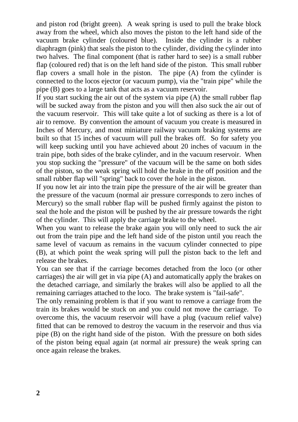and piston rod (bright green). A weak spring is used to pull the brake block away from the wheel, which also moves the piston to the left hand side of the vacuum brake cylinder (coloured blue). Inside the cylinder is a rubber diaphragm (pink) that seals the piston to the cylinder, dividing the cylinder into two halves. The final component (that is rather hard to see) is a small rubber flap (coloured red) that is on the left hand side of the piston. This small rubber flap covers a small hole in the piston. The pipe (A) from the cylinder is connected to the locos ejector (or vacuum pump), via the "train pipe" while the pipe (B) goes to a large tank that acts as a vacuum reservoir.

If you start sucking the air out of the system via pipe (A) the small rubber flap will be sucked away from the piston and you will then also suck the air out of the vacuum reservoir. This will take quite a lot of sucking as there is a lot of air to remove. By convention the amount of vacuum you create is measured in Inches of Mercury, and most miniature railway vacuum braking systems are built so that 15 inches of vacuum will pull the brakes off. So for safety you will keep sucking until you have achieved about 20 inches of vacuum in the train pipe, both sides of the brake cylinder, and in the vacuum reservoir. When you stop sucking the "pressure" of the vacuum will be the same on both sides of the piston, so the weak spring will hold the brake in the off position and the small rubber flap will "spring" back to cover the hole in the piston.

If you now let air into the train pipe the pressure of the air will be greater than the pressure of the vacuum (normal air pressure corresponds to zero inches of Mercury) so the small rubber flap will be pushed firmly against the piston to seal the hole and the piston will be pushed by the air pressure towards the right of the cylinder. This will apply the carriage brake to the wheel.

When you want to release the brake again you will only need to suck the air out from the train pipe and the left hand side of the piston until you reach the same level of vacuum as remains in the vacuum cylinder connected to pipe (B), at which point the weak spring will pull the piston back to the left and release the brakes.

You can see that if the carriage becomes detached from the loco (or other carriages) the air will get in via pipe (A) and automatically apply the brakes on the detached carriage, and similarly the brakes will also be applied to all the remaining carriages attached to the loco. The brake system is "fail-safe".

The only remaining problem is that if you want to remove a carriage from the train its brakes would be stuck on and you could not move the carriage. To overcome this, the vacuum reservoir will have a plug (vacuum relief valve) fitted that can be removed to destroy the vacuum in the reservoir and thus via pipe (B) on the right hand side of the piston. With the pressure on both sides of the piston being equal again (at normal air pressure) the weak spring can once again release the brakes.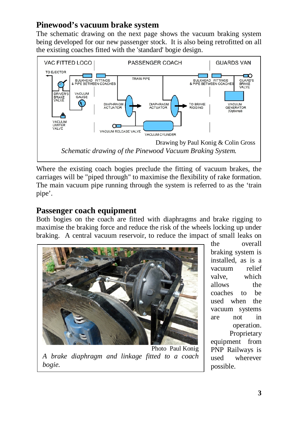## **Pinewood's vacuum brake system**

The schematic drawing on the next page shows the vacuum braking system being developed for our new passenger stock. It is also being retrofitted on all the existing coaches fitted with the 'standard' bogie design.



Where the existing coach bogies preclude the fitting of vacuum brakes, the carriages will be "piped through" to maximise the flexibility of rake formation. The main vacuum pipe running through the system is referred to as the 'train pipe'.

#### **Passenger coach equipment**

Both bogies on the coach are fitted with diaphragms and brake rigging to maximise the braking force and reduce the risk of the wheels locking up under braking. A central vacuum reservoir, to reduce the impact of small leaks on



Photo Paul Konig *A brake diaphragm and linkage fitted to a coach bogie.* 

the overall braking system is installed, as is a vacuum relief valve, which allows the coaches to be used when the vacuum systems are not in operation. **Proprietary** equipment from PNP Railways is used wherever possible.